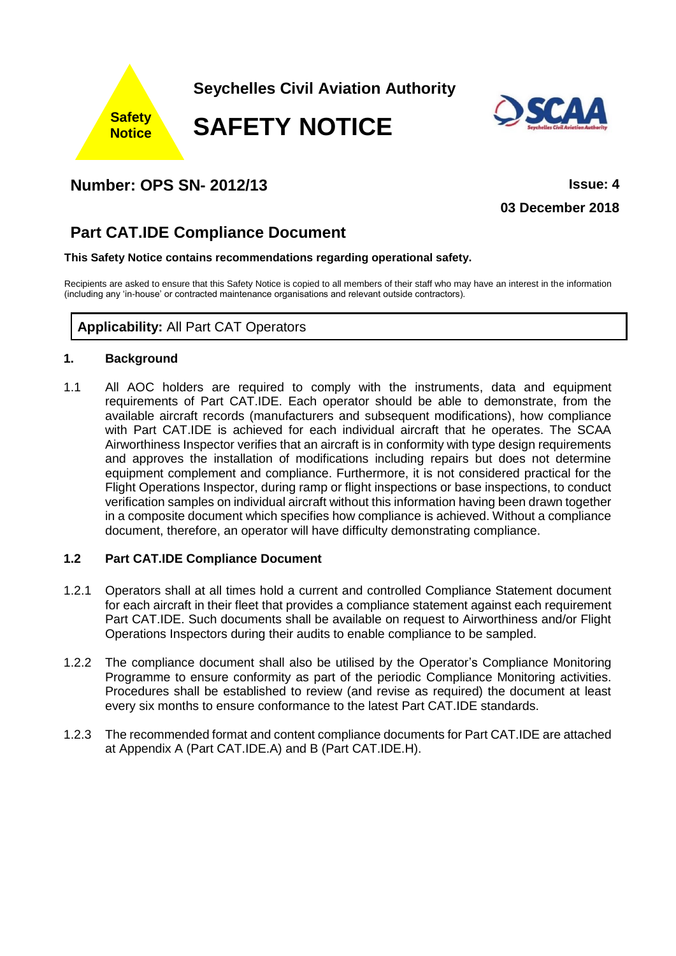

## **Number: OPS SN- 2012/13 Issue: 4**

**03 December 2018**

# **Part CAT.IDE Compliance Document**

#### **This Safety Notice contains recommendations regarding operational safety.**

Recipients are asked to ensure that this Safety Notice is copied to all members of their staff who may have an interest in the information (including any 'in-house' or contracted maintenance organisations and relevant outside contractors).

## **Applicability:** All Part CAT Operators

#### **1. Background**

1.1 All AOC holders are required to comply with the instruments, data and equipment requirements of Part CAT.IDE. Each operator should be able to demonstrate, from the available aircraft records (manufacturers and subsequent modifications), how compliance with Part CAT.IDE is achieved for each individual aircraft that he operates. The SCAA Airworthiness Inspector verifies that an aircraft is in conformity with type design requirements and approves the installation of modifications including repairs but does not determine equipment complement and compliance. Furthermore, it is not considered practical for the Flight Operations Inspector, during ramp or flight inspections or base inspections, to conduct verification samples on individual aircraft without this information having been drawn together in a composite document which specifies how compliance is achieved. Without a compliance document, therefore, an operator will have difficulty demonstrating compliance.

#### **1.2 Part CAT.IDE Compliance Document**

- 1.2.1 Operators shall at all times hold a current and controlled Compliance Statement document for each aircraft in their fleet that provides a compliance statement against each requirement Part CAT.IDE. Such documents shall be available on request to Airworthiness and/or Flight Operations Inspectors during their audits to enable compliance to be sampled.
- 1.2.2 The compliance document shall also be utilised by the Operator's Compliance Monitoring Programme to ensure conformity as part of the periodic Compliance Monitoring activities. Procedures shall be established to review (and revise as required) the document at least every six months to ensure conformance to the latest Part CAT.IDE standards.
- 1.2.3 The recommended format and content compliance documents for Part CAT.IDE are attached at Appendix A (Part CAT.IDE.A) and B (Part CAT.IDE.H).